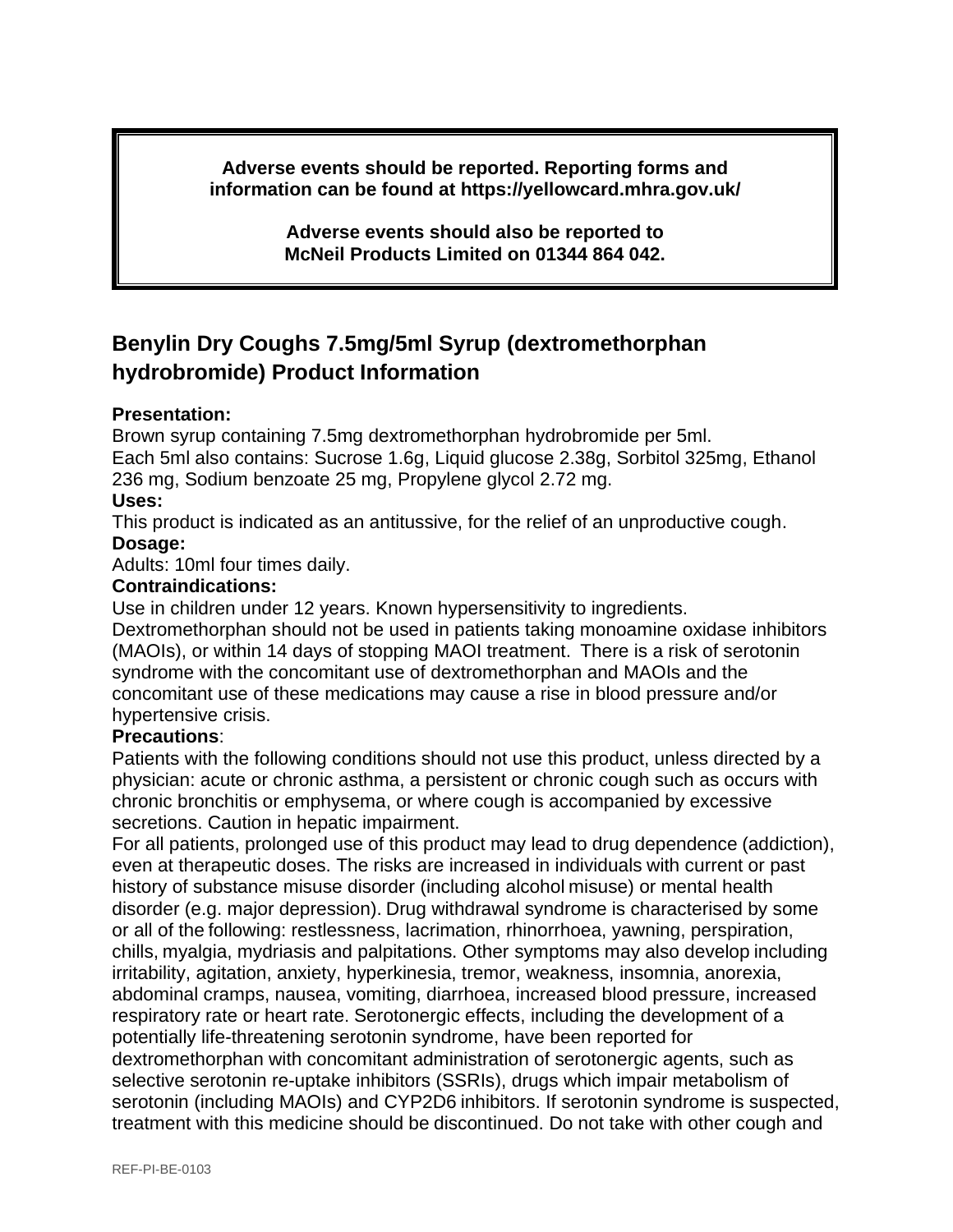**Adverse events should be reported. Reporting forms and information can be found at https://yellowcard.mhra.gov.uk/**

> **Adverse events should also be reported to McNeil Products Limited on 01344 864 042.**

# **Benylin Dry Coughs 7.5mg/5ml Syrup (dextromethorphan hydrobromide) Product Information**

## **Presentation:**

Brown syrup containing 7.5mg dextromethorphan hydrobromide per 5ml. Each 5ml also contains: Sucrose 1.6g, Liquid glucose 2.38g, Sorbitol 325mg, Ethanol 236 mg, Sodium benzoate 25 mg, Propylene glycol 2.72 mg.

## **Uses:**

This product is indicated as an antitussive, for the relief of an unproductive cough. **Dosage:**

Adults: 10ml four times daily.

## **Contraindications:**

Use in children under 12 years. Known hypersensitivity to ingredients.

Dextromethorphan should not be used in patients taking monoamine oxidase inhibitors (MAOIs), or within 14 days of stopping MAOI treatment. There is a risk of serotonin syndrome with the concomitant use of dextromethorphan and MAOIs and the concomitant use of these medications may cause a rise in blood pressure and/or hypertensive crisis.

#### **Precautions**:

Patients with the following conditions should not use this product, unless directed by a physician: acute or chronic asthma, a persistent or chronic cough such as occurs with chronic bronchitis or emphysema, or where cough is accompanied by excessive secretions. Caution in hepatic impairment.

For all patients, prolonged use of this product may lead to drug dependence (addiction), even at therapeutic doses. The risks are increased in individuals with current or past history of substance misuse disorder (including alcohol misuse) or mental health disorder (e.g. major depression). Drug withdrawal syndrome is characterised by some or all of the following: restlessness, lacrimation, rhinorrhoea, yawning, perspiration, chills, myalgia, mydriasis and palpitations. Other symptoms may also develop including irritability, agitation, anxiety, hyperkinesia, tremor, weakness, insomnia, anorexia, abdominal cramps, nausea, vomiting, diarrhoea, increased blood pressure, increased respiratory rate or heart rate. Serotonergic effects, including the development of a potentially life-threatening serotonin syndrome, have been reported for dextromethorphan with concomitant administration of serotonergic agents, such as selective serotonin re-uptake inhibitors (SSRIs), drugs which impair metabolism of serotonin (including MAOIs) and CYP2D6 inhibitors. If serotonin syndrome is suspected, treatment with this medicine should be discontinued. Do not take with other cough and